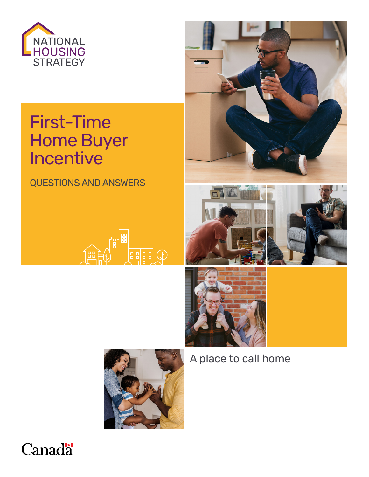

# First-Time Home Buyer Incentive

QUESTIONS AND ANSWERS













A place to call home

# **Canada**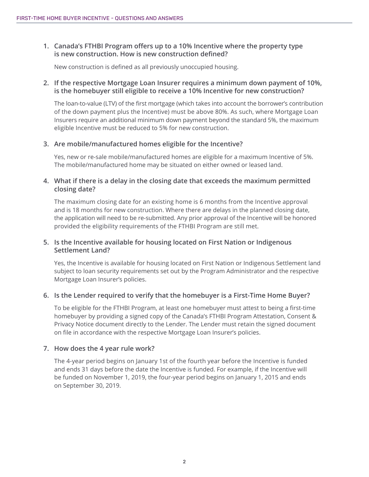# **1. Canada's FTHBI Program offers up to a 10% Incentive where the property type is new construction. How is new construction defined?**

New construction is defined as all previously unoccupied housing.

#### **2. If the respective Mortgage Loan Insurer requires a minimum down payment of 10%, is the homebuyer still eligible to receive a 10% Incentive for new construction?**

 Insurers require an additional minimum down payment beyond the standard 5%, the maximum The loan-to-value (LTV) of the first mortgage (which takes into account the borrower's contribution of the down payment plus the Incentive) must be above 80%. As such, where Mortgage Loan eligible Incentive must be reduced to 5% for new construction.

# **3. Are mobile/manufactured homes eligible for the Incentive?**

Yes, new or re-sale mobile/manufactured homes are eligible for a maximum Incentive of 5%. The mobile/manufactured home may be situated on either owned or leased land.

# **4. What if there is a delay in the closing date that exceeds the maximum permitted closing date?**

The maximum closing date for an existing home is 6 months from the Incentive approval and is 18 months for new construction. Where there are delays in the planned closing date, the application will need to be re-submitted. Any prior approval of the Incentive will be honored provided the eligibility requirements of the FTHBI Program are still met.

# **5. Is the Incentive available for housing located on First Nation or Indigenous Settlement Land?**

Yes, the Incentive is available for housing located on First Nation or Indigenous Settlement land subject to loan security requirements set out by the Program Administrator and the respective Mortgage Loan Insurer's policies.

# **6. Is the Lender required to verify that the homebuyer is a First-Time Home Buyer?**

To be eligible for the FTHBI Program, at least one homebuyer must attest to being a first-time homebuyer by providing a signed copy of the Canada's FTHBI Program Attestation, Consent & Privacy Notice document directly to the Lender. The Lender must retain the signed document on file in accordance with the respective Mortgage Loan Insurer's policies.

#### **7. How does the 4 year rule work?**

The 4-year period begins on January 1st of the fourth year before the Incentive is funded and ends 31 days before the date the Incentive is funded. For example, if the Incentive will be funded on November 1, 2019, the four-year period begins on January 1, 2015 and ends on September 30, 2019.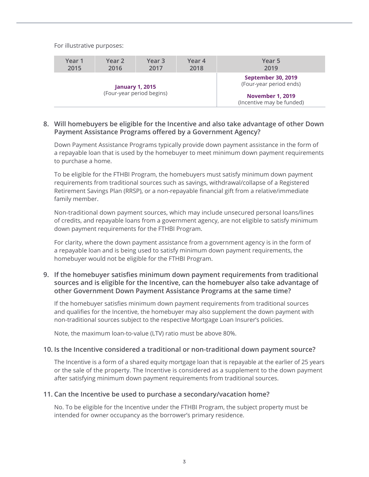For illustrative purposes:

| Year 1<br>2015                                      | Year 2<br>2016 | Year <sub>3</sub><br>2017 | Year 4<br>2018 | Year 5<br>2019                                       |
|-----------------------------------------------------|----------------|---------------------------|----------------|------------------------------------------------------|
|                                                     |                |                           |                |                                                      |
| <b>January 1, 2015</b><br>(Four-year period begins) |                |                           |                | <b>September 30, 2019</b><br>(Four-year period ends) |
|                                                     |                |                           |                | <b>November 1, 2019</b><br>(Incentive may be funded) |

#### **8. Will homebuyers be eligible for the Incentive and also take advantage of other Down Payment Assistance Programs offered by a Government Agency?**

Down Payment Assistance Programs typically provide down payment assistance in the form of a repayable loan that is used by the homebuyer to meet minimum down payment requirements to purchase a home.

To be eligible for the FTHBI Program, the homebuyers must satisfy minimum down payment requirements from traditional sources such as savings, withdrawal/collapse of a Registered Retirement Savings Plan (RRSP), or a non-repayable financial gift from a relative/immediate family member.

Non-traditional down payment sources, which may include unsecured personal loans/lines of credits, and repayable loans from a government agency, are not eligible to satisfy minimum down payment requirements for the FTHBI Program.

For clarity, where the down payment assistance from a government agency is in the form of a repayable loan and is being used to satisfy minimum down payment requirements, the homebuyer would not be eligible for the FTHBI Program.

# **9. If the homebuyer satisfies minimum down payment requirements from traditional sources and is eligible for the Incentive, can the homebuyer also take advantage of other Government Down Payment Assistance Programs at the same time?**

If the homebuyer satisfies minimum down payment requirements from traditional sources and qualifies for the Incentive, the homebuyer may also supplement the down payment with non-traditional sources subject to the respective Mortgage Loan Insurer's policies.

Note, the maximum loan-to-value (LTV) ratio must be above 80%.

#### **10. Is the Incentive considered a traditional or non-traditional down payment source?**

The Incentive is a form of a shared equity mortgage loan that is repayable at the earlier of 25 years or the sale of the property. The Incentive is considered as a supplement to the down payment after satisfying minimum down payment requirements from traditional sources.

#### **11. Can the Incentive be used to purchase a secondary/vacation home?**

No. To be eligible for the Incentive under the FTHBI Program, the subject property must be intended for owner occupancy as the borrower's primary residence.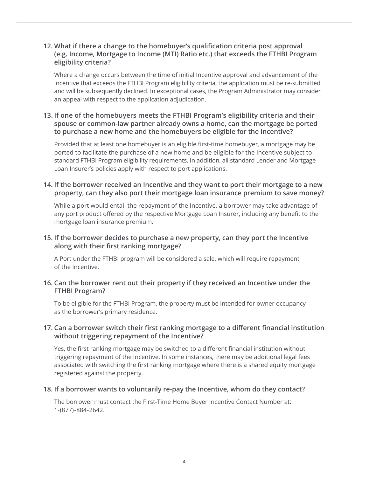# **12. What if there a change to the homebuyer's qualification criteria post approval (e.g. Income, Mortgage to Income (MTI) Ratio etc.) that exceeds the FTHBI Program eligibility criteria?**

Where a change occurs between the time of initial Incentive approval and advancement of the Incentive that exceeds the FTHBI Program eligibility criteria, the application must be re-submitted and will be subsequently declined. In exceptional cases, the Program Administrator may consider an appeal with respect to the application adjudication.

# **13. If one of the homebuyers meets the FTHBI Program's eligibility criteria and their spouse or common-law partner already owns a home, can the mortgage be ported to purchase a new home and the homebuyers be eligible for the Incentive?**

Provided that at least one homebuyer is an eligible first-time homebuyer, a mortgage may be ported to facilitate the purchase of a new home and be eligible for the Incentive subject to standard FTHBI Program eligibility requirements. In addition, all standard Lender and Mortgage Loan Insurer's policies apply with respect to port applications.

# **14. If the borrower received an Incentive and they want to port their mortgage to a new property, can they also port their mortgage loan insurance premium to save money?**

While a port would entail the repayment of the Incentive, a borrower may take advantage of any port product offered by the respective Mortgage Loan Insurer, including any benefit to the mortgage loan insurance premium.

# **15. If the borrower decides to purchase a new property, can they port the Incentive along with their first ranking mortgage?**

A Port under the FTHBI program will be considered a sale, which will require repayment of the Incentive.

# **16. Can the borrower rent out their property if they received an Incentive under the FTHBI Program?**

To be eligible for the FTHBI Program, the property must be intended for owner occupancy as the borrower's primary residence.

# **17. Can a borrower switch their first ranking mortgage to a different financial institution without triggering repayment of the Incentive?**

Yes, the first ranking mortgage may be switched to a different financial institution without triggering repayment of the Incentive. In some instances, there may be additional legal fees associated with switching the first ranking mortgage where there is a shared equity mortgage registered against the property.

#### **18. If a borrower wants to voluntarily re-pay the Incentive, whom do they contact?**

The borrower must contact the First-Time Home Buyer Incentive Contact Number at: 1-(877)-884-2642.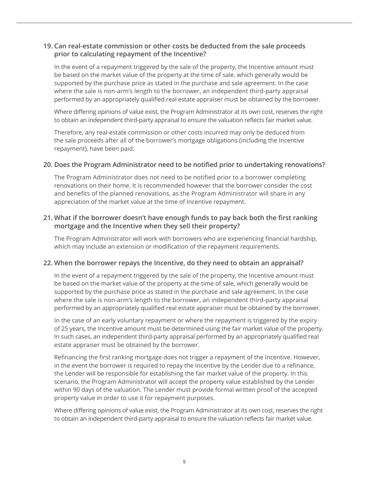# **19. Can real-estate commission or other costs be deducted from the sale proceeds prior to calculating repayment of the Incentive?**

In the event of a repayment triggered by the sale of the property, the Incentive amount must be based on the market value of the property at the time of sale, which generally would be supported by the purchase price as stated in the purchase and sale agreement. In the case where the sale is non-arm's length to the borrower, an independent third-party appraisal performed by an appropriately qualified real estate appraiser must be obtained by the borrower.

Where differing opinions of value exist, the Program Administrator at its own cost, reserves the right to obtain an independent third-party appraisal to ensure the valuation reflects fair market value.

Therefore, any real-estate commission or other costs incurred may only be deduced from the sale proceeds after all of the borrower's mortgage obligations (including the Incentive repayment), have been paid.

#### **20. Does the Program Administrator need to be notified prior to undertaking renovations?**

The Program Administrator does not need to be notified prior to a borrower completing renovations on their home. It is recommended however that the borrower consider the cost and benefits of the planned renovations, as the Program Administrator will share in any appreciation of the market value at the time of Incentive repayment.

#### **21. What if the borrower doesn't have enough funds to pay back both the first ranking mortgage and the Incentive when they sell their property?**

The Program Administrator will work with borrowers who are experiencing financial hardship, which may include an extension or modification of the repayment requirements.

#### **22. When the borrower repays the Incentive, do they need to obtain an appraisal?**

In the event of a repayment triggered by the sale of the property, the Incentive amount must be based on the market value of the property at the time of sale, which generally would be supported by the purchase price as stated in the purchase and sale agreement. In the case where the sale is non-arm's length to the borrower, an independent third-party appraisal performed by an appropriately qualified real estate appraiser must be obtained by the borrower.

In the case of an early voluntary repayment or where the repayment is triggered by the expiry of 25 years, the Incentive amount must be determined using the fair market value of the property. In such cases, an independent third-party appraisal performed by an appropriately qualified real estate appraiser must be obtained by the borrower.

Refinancing the first ranking mortgage does not trigger a repayment of the Incentive. However, in the event the borrower is required to repay the Incentive by the Lender due to a refinance, the Lender will be responsible for establishing the fair market value of the property. In this scenario, the Program Administrator will accept the property value established by the Lender within 90 days of the valuation. The Lender must provide formal written proof of the accepted property value in order to use it for repayment purposes.

Where differing opinions of value exist, the Program Administrator at its own cost, reserves the right to obtain an independent third-party appraisal to ensure the valuation reflects fair market value.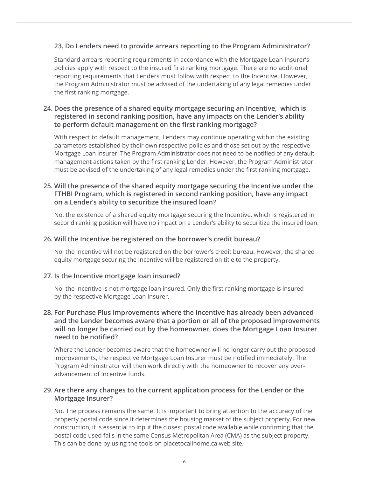# **23. Do Lenders need to provide arrears reporting to the Program Administrator?**

Standard arrears reporting requirements in accordance with the Mortgage Loan Insurer's policies apply with respect to the insured first ranking mortgage. There are no additional reporting requirements that Lenders must follow with respect to the Incentive. However, the Program Administrator must be advised of the undertaking of any legal remedies under the first ranking mortgage.

# **24. Does the presence of a shared equity mortgage securing an Incentive, which is registered in second ranking position, have any impacts on the Lender's ability to perform default management on the first ranking mortgage?**

With respect to default management, Lenders may continue operating within the existing parameters established by their own respective policies and those set out by the respective Mortgage Loan Insurer. The Program Administrator does not need to be notified of any default management actions taken by the first ranking Lender. However, the Program Administrator must be advised of the undertaking of any legal remedies under the first ranking mortgage.

# **25. Will the presence of the shared equity mortgage securing the Incentive under the FTHBI Program, which is registered in second ranking position, have any impact on a Lender's ability to securitize the insured loan?**

No, the existence of a shared equity mortgage securing the Incentive, which is registered in second ranking position will have no impact on a Lender's ability to securitize the insured loan.

#### **26. Will the Incentive be registered on the borrower's credit bureau?**

No, the Incentive will not be registered on the borrower's credit bureau. However, the shared equity mortgage securing the Incentive will be registered on title to the property.

#### **27. Is the Incentive mortgage loan insured?**

No, the Incentive is not mortgage loan insured. Only the first ranking mortgage is insured by the respective Mortgage Loan Insurer.

#### **28. For Purchase Plus Improvements where the Incentive has already been advanced and the Lender becomes aware that a portion or all of the proposed improvements will no longer be carried out by the homeowner, does the Mortgage Loan Insurer need to be notified?**

Where the Lender becomes aware that the homeowner will no longer carry out the proposed improvements, the respective Mortgage Loan Insurer must be notified immediately. The Program Administrator will then work directly with the homeowner to recover any overadvancement of Incentive funds.

#### **29. Are there any changes to the current application process for the Lender or the Mortgage Insurer?**

No. The process remains the same. It is important to bring attention to the accuracy of the property postal code since it determines the housing market of the subject property. For new construction, it is essential to input the closest postal code available while confirming that the postal code used falls in the same Census Metropolitan Area (CMA) as the subject property. This can be done by using the tools on [placetocallhome.ca](https://placetocallhome.ca) web site.